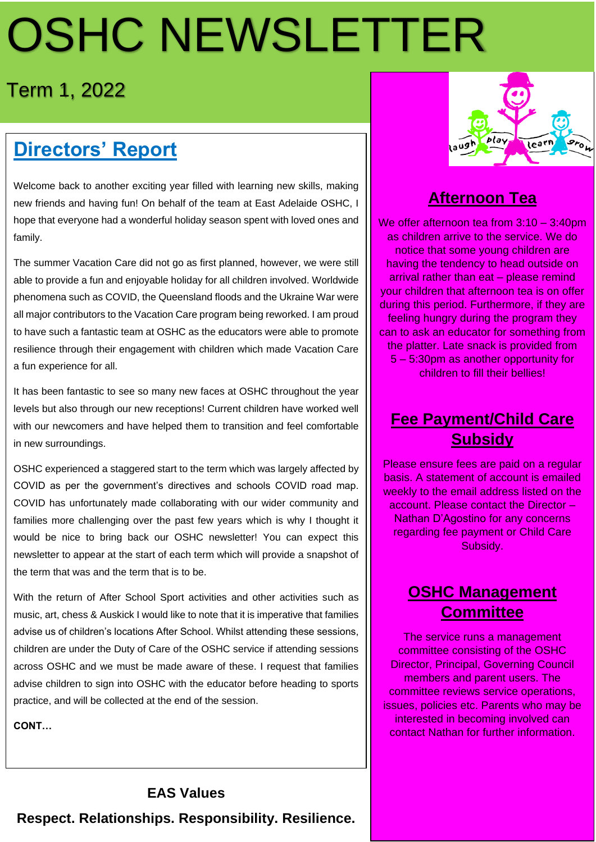# OSHC NEWSLETTER

## Term 1, 2022

## **Directors' Report**

Welcome back to another exciting year filled with learning new skills, making new friends and having fun! On behalf of the team at East Adelaide OSHC, I hope that everyone had a wonderful holiday season spent with loved ones and family.

The summer Vacation Care did not go as first planned, however, we were still able to provide a fun and enjoyable holiday for all children involved. Worldwide phenomena such as COVID, the Queensland floods and the Ukraine War were all major contributors to the Vacation Care program being reworked. I am proud to have such a fantastic team at OSHC as the educators were able to promote resilience through their engagement with children which made Vacation Care a fun experience for all.

It has been fantastic to see so many new faces at OSHC throughout the year levels but also through our new receptions! Current children have worked well with our newcomers and have helped them to transition and feel comfortable in new surroundings.

OSHC experienced a staggered start to the term which was largely affected by COVID as per the government's directives and schools COVID road map. COVID has unfortunately made collaborating with our wider community and families more challenging over the past few years which is why I thought it would be nice to bring back our OSHC newsletter! You can expect this newsletter to appear at the start of each term which will provide a snapshot of the term that was and the term that is to be.

With the return of After School Sport activities and other activities such as music, art, chess & Auskick I would like to note that it is imperative that families advise us of children's locations After School. Whilst attending these sessions, children are under the Duty of Care of the OSHC service if attending sessions across OSHC and we must be made aware of these. I request that families advise children to sign into OSHC with the educator before heading to sports practice, and will be collected at the end of the session.

**CONT…**

#### **EAS Values**

**Respect. Relationships. Responsibility. Resilience.**



### **Afternoon Tea**

We offer afternoon tea from 3:10 – 3:40pm as children arrive to the service. We do notice that some young children are having the tendency to head outside on arrival rather than eat – please remind your children that afternoon tea is on offer during this period. Furthermore, if they are feeling hungry during the program they can to ask an educator for something from the platter. Late snack is provided from 5 – 5:30pm as another opportunity for children to fill their bellies!

#### **Fee Payment/Child Care Subsidy**

Please ensure fees are paid on a regular basis. A statement of account is emailed weekly to the email address listed on the account. Please contact the Director – Nathan D'Agostino for any concerns regarding fee payment or Child Care Subsidy.

#### **OSHC Management Committee**

The service runs a management committee consisting of the OSHC Director, Principal, Governing Council members and parent users. The committee reviews service operations, issues, policies etc. Parents who may be interested in becoming involved can contact Nathan for further information.